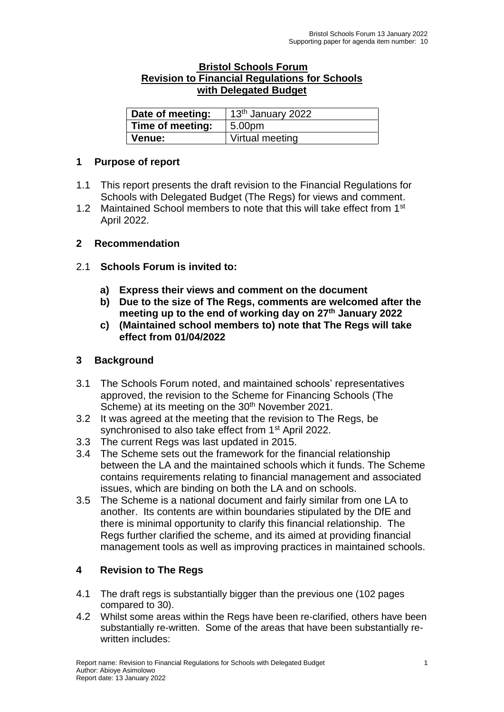#### **Bristol Schools Forum Revision to Financial Regulations for Schools with Delegated Budget**

| Date of meeting: | 13 <sup>th</sup> January 2022 |  |
|------------------|-------------------------------|--|
| Time of meeting: | 5.00pm                        |  |
| <b>Venue:</b>    | Virtual meeting               |  |

### **1 Purpose of report**

- 1.1 This report presents the draft revision to the Financial Regulations for Schools with Delegated Budget (The Regs) for views and comment.
- 1.2 Maintained School members to note that this will take effect from 1<sup>st</sup> April 2022.

### **2 Recommendation**

### 2.1 **Schools Forum is invited to:**

- **a) Express their views and comment on the document**
- **b) Due to the size of The Regs, comments are welcomed after the meeting up to the end of working day on 27th January 2022**
- **c) (Maintained school members to) note that The Regs will take effect from 01/04/2022**

### **3 Background**

- 3.1 The Schools Forum noted, and maintained schools' representatives approved, the revision to the Scheme for Financing Schools (The Scheme) at its meeting on the 30<sup>th</sup> November 2021.
- 3.2 It was agreed at the meeting that the revision to The Regs, be synchronised to also take effect from 1<sup>st</sup> April 2022.
- 3.3 The current Regs was last updated in 2015.
- 3.4 The Scheme sets out the framework for the financial relationship between the LA and the maintained schools which it funds. The Scheme contains requirements relating to financial management and associated issues, which are binding on both the LA and on schools.
- 3.5 The Scheme is a national document and fairly similar from one LA to another. Its contents are within boundaries stipulated by the DfE and there is minimal opportunity to clarify this financial relationship. The Regs further clarified the scheme, and its aimed at providing financial management tools as well as improving practices in maintained schools.

## **4 Revision to The Regs**

- 4.1 The draft regs is substantially bigger than the previous one (102 pages compared to 30).
- 4.2 Whilst some areas within the Regs have been re-clarified, others have been substantially re-written. Some of the areas that have been substantially rewritten includes: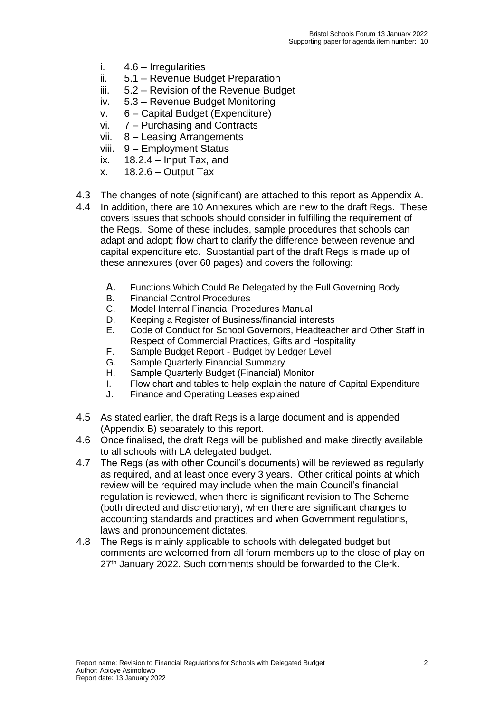- i. 4.6 Irregularities
- ii. 5.1 Revenue Budget Preparation
- iii. 5.2 Revision of the Revenue Budget
- iv. 5.3 Revenue Budget Monitoring
- v. 6 Capital Budget (Expenditure)
- vi. 7 Purchasing and Contracts
- vii. 8 Leasing Arrangements
- viii. 9 Employment Status
- ix.  $18.2.4 -$  Input Tax, and
- $x.$  18.2.6 Output Tax
- 4.3 The changes of note (significant) are attached to this report as Appendix A.
- 4.4 In addition, there are 10 Annexures which are new to the draft Regs. These covers issues that schools should consider in fulfilling the requirement of the Regs. Some of these includes, sample procedures that schools can adapt and adopt; flow chart to clarify the difference between revenue and capital expenditure etc. Substantial part of the draft Regs is made up of these annexures (over 60 pages) and covers the following:
	- A. Functions Which Could Be Delegated by the Full Governing Body<br>B. Financial Control Procedures
	- **Financial Control Procedures**
	- C. Model Internal Financial Procedures Manual
	- D. Keeping a Register of Business/financial interests
	- E. Code of Conduct for School Governors, Headteacher and Other Staff in Respect of Commercial Practices, Gifts and Hospitality
	- F. Sample Budget Report Budget by Ledger Level
	- G. Sample Quarterly Financial Summary
	- H. Sample Quarterly Budget (Financial) Monitor
	- I. Flow chart and tables to help explain the nature of Capital Expenditure
	- J. Finance and Operating Leases explained
- 4.5 As stated earlier, the draft Regs is a large document and is appended (Appendix B) separately to this report.
- 4.6 Once finalised, the draft Regs will be published and make directly available to all schools with LA delegated budget.
- 4.7 The Regs (as with other Council's documents) will be reviewed as regularly as required, and at least once every 3 years. Other critical points at which review will be required may include when the main Council's financial regulation is reviewed, when there is significant revision to The Scheme (both directed and discretionary), when there are significant changes to accounting standards and practices and when Government regulations, laws and pronouncement dictates.
- 4.8 The Regs is mainly applicable to schools with delegated budget but comments are welcomed from all forum members up to the close of play on 27<sup>th</sup> January 2022. Such comments should be forwarded to the Clerk.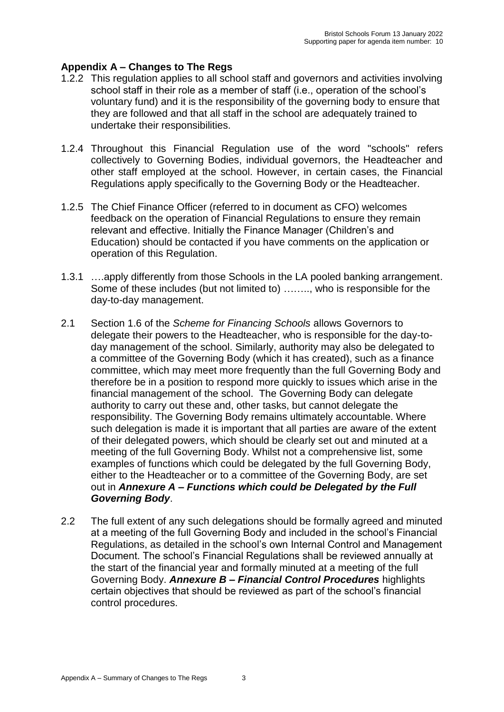# **Appendix A – Changes to The Regs**

- 1.2.2 This regulation applies to all school staff and governors and activities involving school staff in their role as a member of staff (i.e., operation of the school's voluntary fund) and it is the responsibility of the governing body to ensure that they are followed and that all staff in the school are adequately trained to undertake their responsibilities.
- 1.2.4 Throughout this Financial Regulation use of the word "schools" refers collectively to Governing Bodies, individual governors, the Headteacher and other staff employed at the school. However, in certain cases, the Financial Regulations apply specifically to the Governing Body or the Headteacher.
- 1.2.5 The Chief Finance Officer (referred to in document as CFO) welcomes feedback on the operation of Financial Regulations to ensure they remain relevant and effective. Initially the Finance Manager (Children's and Education) should be contacted if you have comments on the application or operation of this Regulation.
- 1.3.1 ….apply differently from those Schools in the LA pooled banking arrangement. Some of these includes (but not limited to) …….., who is responsible for the day-to-day management.
- 2.1 Section 1.6 of the *Scheme for Financing Schools* allows Governors to delegate their powers to the Headteacher, who is responsible for the day-today management of the school. Similarly, authority may also be delegated to a committee of the Governing Body (which it has created), such as a finance committee, which may meet more frequently than the full Governing Body and therefore be in a position to respond more quickly to issues which arise in the financial management of the school. The Governing Body can delegate authority to carry out these and, other tasks, but cannot delegate the responsibility. The Governing Body remains ultimately accountable. Where such delegation is made it is important that all parties are aware of the extent of their delegated powers, which should be clearly set out and minuted at a meeting of the full Governing Body. Whilst not a comprehensive list, some examples of functions which could be delegated by the full Governing Body, either to the Headteacher or to a committee of the Governing Body, are set out in *Annexure A – Functions which could be Delegated by the Full Governing Body*.
- 2.2 The full extent of any such delegations should be formally agreed and minuted at a meeting of the full Governing Body and included in the school's Financial Regulations, as detailed in the school's own Internal Control and Management Document. The school's Financial Regulations shall be reviewed annually at the start of the financial year and formally minuted at a meeting of the full Governing Body. *Annexure B – Financial Control Procedures* highlights certain objectives that should be reviewed as part of the school's financial control procedures.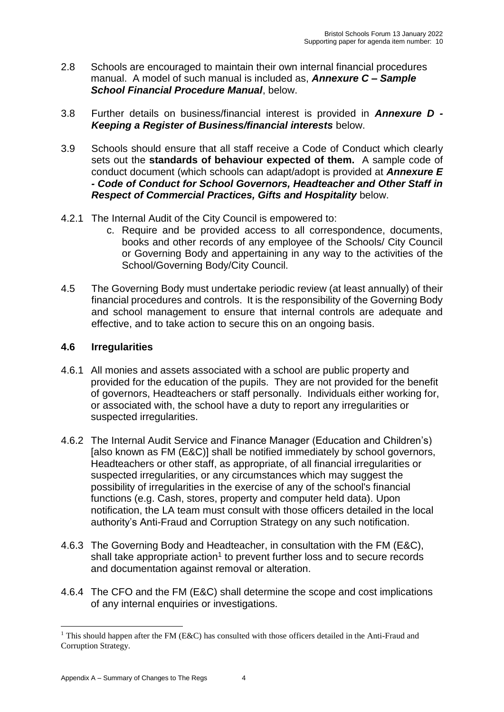- 2.8 Schools are encouraged to maintain their own internal financial procedures manual. A model of such manual is included as, *Annexure C – Sample School Financial Procedure Manual*, below.
- 3.8 Further details on business/financial interest is provided in *Annexure D - Keeping a Register of Business/financial interests* below.
- 3.9 Schools should ensure that all staff receive a Code of Conduct which clearly sets out the **standards of behaviour expected of them.** A sample code of conduct document (which schools can adapt/adopt is provided at *Annexure E - Code of Conduct for School Governors, Headteacher and Other Staff in Respect of Commercial Practices, Gifts and Hospitality* below.
- 4.2.1 The Internal Audit of the City Council is empowered to:
	- c. Require and be provided access to all correspondence, documents, books and other records of any employee of the Schools/ City Council or Governing Body and appertaining in any way to the activities of the School/Governing Body/City Council.
- 4.5 The Governing Body must undertake periodic review (at least annually) of their financial procedures and controls. It is the responsibility of the Governing Body and school management to ensure that internal controls are adequate and effective, and to take action to secure this on an ongoing basis.

### **4.6 Irregularities**

- 4.6.1 All monies and assets associated with a school are public property and provided for the education of the pupils. They are not provided for the benefit of governors, Headteachers or staff personally. Individuals either working for, or associated with, the school have a duty to report any irregularities or suspected irregularities.
- 4.6.2 The Internal Audit Service and Finance Manager (Education and Children's) [also known as FM (E&C)] shall be notified immediately by school governors, Headteachers or other staff, as appropriate, of all financial irregularities or suspected irregularities, or any circumstances which may suggest the possibility of irregularities in the exercise of any of the school's financial functions (e.g. Cash, stores, property and computer held data). Upon notification, the LA team must consult with those officers detailed in the local authority's Anti-Fraud and Corruption Strategy on any such notification.
- 4.6.3 The Governing Body and Headteacher, in consultation with the FM (E&C), shall take appropriate action<sup>1</sup> to prevent further loss and to secure records and documentation against removal or alteration.
- 4.6.4 The CFO and the FM (E&C) shall determine the scope and cost implications of any internal enquiries or investigations.

<sup>1</sup> <sup>1</sup> This should happen after the FM (E&C) has consulted with those officers detailed in the Anti-Fraud and Corruption Strategy.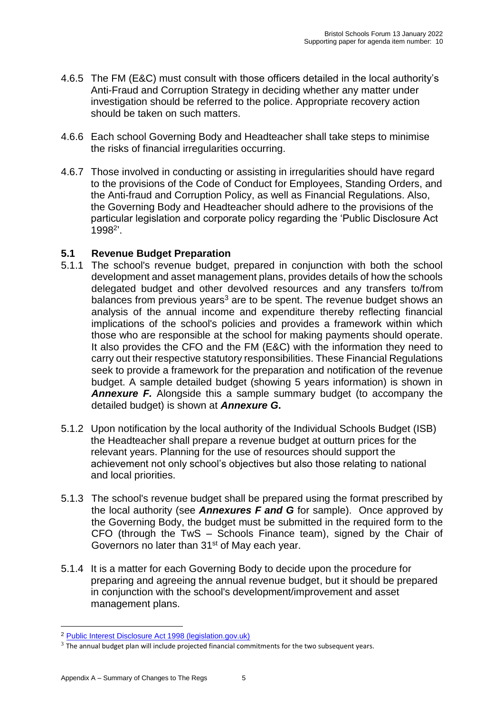- 4.6.5 The FM (E&C) must consult with those officers detailed in the local authority's Anti-Fraud and Corruption Strategy in deciding whether any matter under investigation should be referred to the police. Appropriate recovery action should be taken on such matters.
- 4.6.6 Each school Governing Body and Headteacher shall take steps to minimise the risks of financial irregularities occurring.
- 4.6.7 Those involved in conducting or assisting in irregularities should have regard to the provisions of the Code of Conduct for Employees, Standing Orders, and the Anti-fraud and Corruption Policy, as well as Financial Regulations. Also, the Governing Body and Headteacher should adhere to the provisions of the particular legislation and corporate policy regarding the 'Public Disclosure Act 1998<sup>2</sup> '.

## **5.1 Revenue Budget Preparation**

- 5.1.1 The school's revenue budget, prepared in conjunction with both the school development and asset management plans, provides details of how the schools delegated budget and other devolved resources and any transfers to/from balances from previous years<sup>3</sup> are to be spent. The revenue budget shows an analysis of the annual income and expenditure thereby reflecting financial implications of the school's policies and provides a framework within which those who are responsible at the school for making payments should operate. It also provides the CFO and the FM (E&C) with the information they need to carry out their respective statutory responsibilities. These Financial Regulations seek to provide a framework for the preparation and notification of the revenue budget. A sample detailed budget (showing 5 years information) is shown in *Annexure F.* Alongside this a sample summary budget (to accompany the detailed budget) is shown at *Annexure G***.**
- 5.1.2 Upon notification by the local authority of the Individual Schools Budget (ISB) the Headteacher shall prepare a revenue budget at outturn prices for the relevant years. Planning for the use of resources should support the achievement not only school's objectives but also those relating to national and local priorities.
- 5.1.3 The school's revenue budget shall be prepared using the format prescribed by the local authority (see *Annexures F and G* for sample). Once approved by the Governing Body, the budget must be submitted in the required form to the CFO (through the TwS – Schools Finance team), signed by the Chair of Governors no later than 31<sup>st</sup> of May each year.
- 5.1.4 It is a matter for each Governing Body to decide upon the procedure for preparing and agreeing the annual revenue budget, but it should be prepared in conjunction with the school's development/improvement and asset management plans.

<sup>2</sup> [Public Interest Disclosure Act 1998 \(legislation.gov.uk\)](https://www.legislation.gov.uk/ukpga/1998/23/contents)

 $3$  The annual budget plan will include projected financial commitments for the two subsequent years.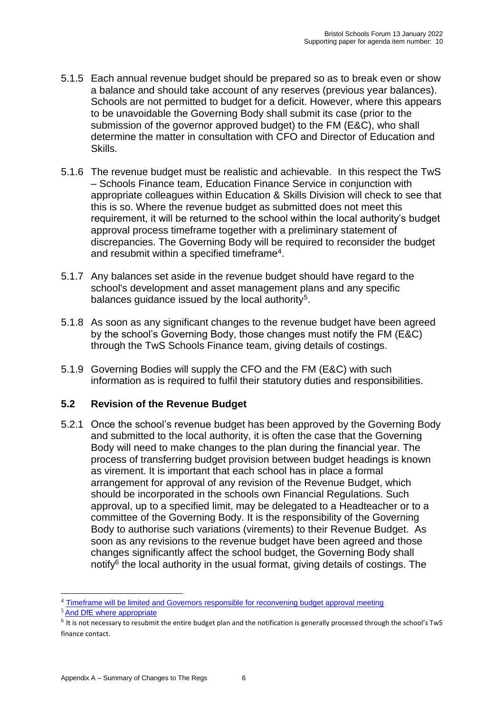- 5.1.5 Each annual revenue budget should be prepared so as to break even or show a balance and should take account of any reserves (previous year balances). Schools are not permitted to budget for a deficit. However, where this appears to be unavoidable the Governing Body shall submit its case (prior to the submission of the governor approved budget) to the FM (E&C), who shall determine the matter in consultation with CFO and Director of Education and Skills.
- 5.1.6 The revenue budget must be realistic and achievable. In this respect the TwS – Schools Finance team, Education Finance Service in conjunction with appropriate colleagues within Education & Skills Division will check to see that this is so. Where the revenue budget as submitted does not meet this requirement, it will be returned to the school within the local authority's budget approval process timeframe together with a preliminary statement of discrepancies. The Governing Body will be required to reconsider the budget and resubmit within a specified timeframe<sup>4</sup>.
- 5.1.7 Any balances set aside in the revenue budget should have regard to the school's development and asset management plans and any specific balances guidance issued by the local authority<sup>5</sup>.
- 5.1.8 As soon as any significant changes to the revenue budget have been agreed by the school's Governing Body, those changes must notify the FM (E&C) through the TwS Schools Finance team, giving details of costings.
- 5.1.9 Governing Bodies will supply the CFO and the FM (E&C) with such information as is required to fulfil their statutory duties and responsibilities.

## **5.2 Revision of the Revenue Budget**

5.2.1 Once the school's revenue budget has been approved by the Governing Body and submitted to the local authority, it is often the case that the Governing Body will need to make changes to the plan during the financial year. The process of transferring budget provision between budget headings is known as virement. It is important that each school has in place a formal arrangement for approval of any revision of the Revenue Budget, which should be incorporated in the schools own Financial Regulations. Such approval, up to a specified limit, may be delegated to a Headteacher or to a committee of the Governing Body. It is the responsibility of the Governing Body to authorise such variations (virements) to their Revenue Budget. As soon as any revisions to the revenue budget have been agreed and those changes significantly affect the school budget, the Governing Body shall notify<sup>6</sup> the local authority in the usual format, giving details of costings. The

<sup>4</sup> Timeframe will be limited and Governors responsible for reconvening budget approval meeting

<sup>5</sup> And DfE where appropriate

 $^6$  It is not necessary to resubmit the entire budget plan and the notification is generally processed through the school's TwS finance contact.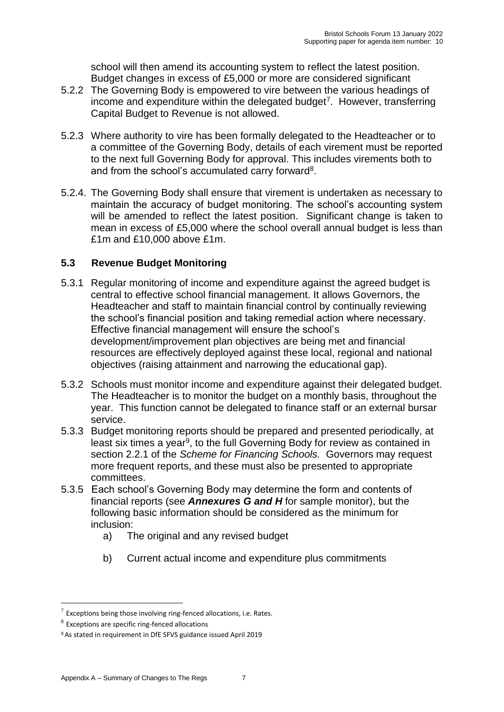school will then amend its accounting system to reflect the latest position. Budget changes in excess of £5,000 or more are considered significant

- 5.2.2 The Governing Body is empowered to vire between the various headings of income and expenditure within the delegated budget<sup>7</sup>. However, transferring Capital Budget to Revenue is not allowed.
- 5.2.3 Where authority to vire has been formally delegated to the Headteacher or to a committee of the Governing Body, details of each virement must be reported to the next full Governing Body for approval. This includes virements both to and from the school's accumulated carry forward<sup>8</sup>.
- 5.2.4. The Governing Body shall ensure that virement is undertaken as necessary to maintain the accuracy of budget monitoring. The school's accounting system will be amended to reflect the latest position. Significant change is taken to mean in excess of £5,000 where the school overall annual budget is less than £1m and £10,000 above £1m.

# **5.3 Revenue Budget Monitoring**

- 5.3.1 Regular monitoring of income and expenditure against the agreed budget is central to effective school financial management. It allows Governors, the Headteacher and staff to maintain financial control by continually reviewing the school's financial position and taking remedial action where necessary. Effective financial management will ensure the school's development/improvement plan objectives are being met and financial resources are effectively deployed against these local, regional and national objectives (raising attainment and narrowing the educational gap).
- 5.3.2 Schools must monitor income and expenditure against their delegated budget. The Headteacher is to monitor the budget on a monthly basis, throughout the year. This function cannot be delegated to finance staff or an external bursar service.
- 5.3.3 Budget monitoring reports should be prepared and presented periodically, at least six times a year<sup>9</sup>, to the full Governing Body for review as contained in section 2.2.1 of the *Scheme for Financing Schools.* Governors may request more frequent reports, and these must also be presented to appropriate committees.
- 5.3.5 Each school's Governing Body may determine the form and contents of financial reports (see *Annexures G and H* for sample monitor), but the following basic information should be considered as the minimum for inclusion:
	- a) The original and any revised budget
	- b) Current actual income and expenditure plus commitments

 $7$  Exceptions being those involving ring-fenced allocations, i.e. Rates.

 $8$  Exceptions are specific ring-fenced allocations

<sup>9</sup>As stated in requirement in DfE SFVS guidance issued April 2019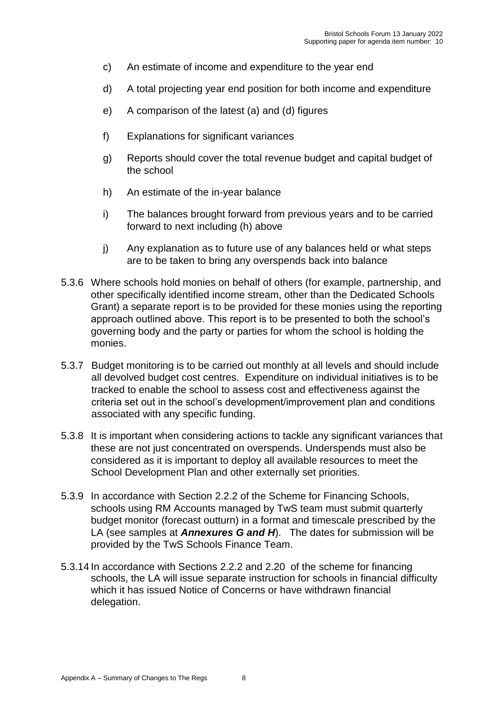- c) An estimate of income and expenditure to the year end
- d) A total projecting year end position for both income and expenditure
- e) A comparison of the latest (a) and (d) figures
- f) Explanations for significant variances
- g) Reports should cover the total revenue budget and capital budget of the school
- h) An estimate of the in-year balance
- i) The balances brought forward from previous years and to be carried forward to next including (h) above
- j) Any explanation as to future use of any balances held or what steps are to be taken to bring any overspends back into balance
- 5.3.6 Where schools hold monies on behalf of others (for example, partnership, and other specifically identified income stream, other than the Dedicated Schools Grant) a separate report is to be provided for these monies using the reporting approach outlined above. This report is to be presented to both the school's governing body and the party or parties for whom the school is holding the monies.
- 5.3.7 Budget monitoring is to be carried out monthly at all levels and should include all devolved budget cost centres. Expenditure on individual initiatives is to be tracked to enable the school to assess cost and effectiveness against the criteria set out in the school's development/improvement plan and conditions associated with any specific funding.
- 5.3.8 It is important when considering actions to tackle any significant variances that these are not just concentrated on overspends. Underspends must also be considered as it is important to deploy all available resources to meet the School Development Plan and other externally set priorities.
- 5.3.9 In accordance with Section 2.2.2 of the Scheme for Financing Schools, schools using RM Accounts managed by TwS team must submit quarterly budget monitor (forecast outturn) in a format and timescale prescribed by the LA (see samples at *Annexures G and H*). The dates for submission will be provided by the TwS Schools Finance Team.
- 5.3.14 In accordance with Sections 2.2.2 and 2.20 of the scheme for financing schools, the LA will issue separate instruction for schools in financial difficulty which it has issued Notice of Concerns or have withdrawn financial delegation.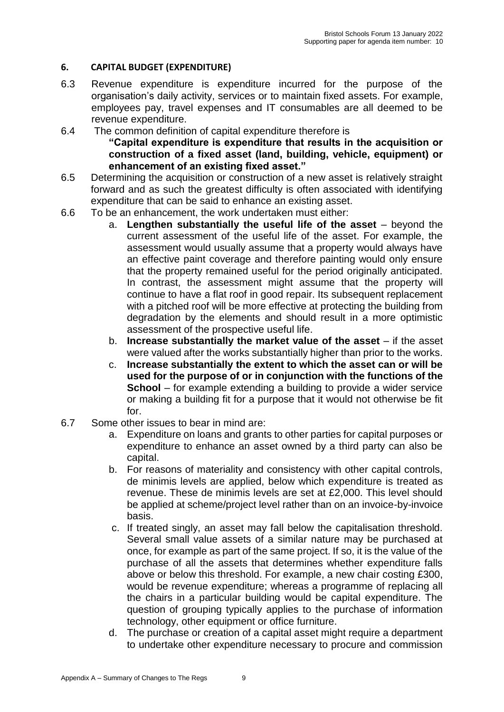#### **6. CAPITAL BUDGET (EXPENDITURE)**

- 6.3 Revenue expenditure is expenditure incurred for the purpose of the organisation's daily activity, services or to maintain fixed assets. For example, employees pay, travel expenses and IT consumables are all deemed to be revenue expenditure.
- 6.4 The common definition of capital expenditure therefore is **"Capital expenditure is expenditure that results in the acquisition or construction of a fixed asset (land, building, vehicle, equipment) or enhancement of an existing fixed asset."**
- 6.5 Determining the acquisition or construction of a new asset is relatively straight forward and as such the greatest difficulty is often associated with identifying expenditure that can be said to enhance an existing asset.
- 6.6 To be an enhancement, the work undertaken must either:
	- a. **Lengthen substantially the useful life of the asset** beyond the current assessment of the useful life of the asset. For example, the assessment would usually assume that a property would always have an effective paint coverage and therefore painting would only ensure that the property remained useful for the period originally anticipated. In contrast, the assessment might assume that the property will continue to have a flat roof in good repair. Its subsequent replacement with a pitched roof will be more effective at protecting the building from degradation by the elements and should result in a more optimistic assessment of the prospective useful life.
	- b. **Increase substantially the market value of the asset** if the asset were valued after the works substantially higher than prior to the works.
	- c. **Increase substantially the extent to which the asset can or will be used for the purpose of or in conjunction with the functions of the School** – for example extending a building to provide a wider service or making a building fit for a purpose that it would not otherwise be fit for.
- 6.7 Some other issues to bear in mind are:
	- a. Expenditure on loans and grants to other parties for capital purposes or expenditure to enhance an asset owned by a third party can also be capital.
	- b. For reasons of materiality and consistency with other capital controls, de minimis levels are applied, below which expenditure is treated as revenue. These de minimis levels are set at £2,000. This level should be applied at scheme/project level rather than on an invoice-by-invoice basis.
	- c. If treated singly, an asset may fall below the capitalisation threshold. Several small value assets of a similar nature may be purchased at once, for example as part of the same project. If so, it is the value of the purchase of all the assets that determines whether expenditure falls above or below this threshold. For example, a new chair costing £300, would be revenue expenditure; whereas a programme of replacing all the chairs in a particular building would be capital expenditure. The question of grouping typically applies to the purchase of information technology, other equipment or office furniture.
	- d. The purchase or creation of a capital asset might require a department to undertake other expenditure necessary to procure and commission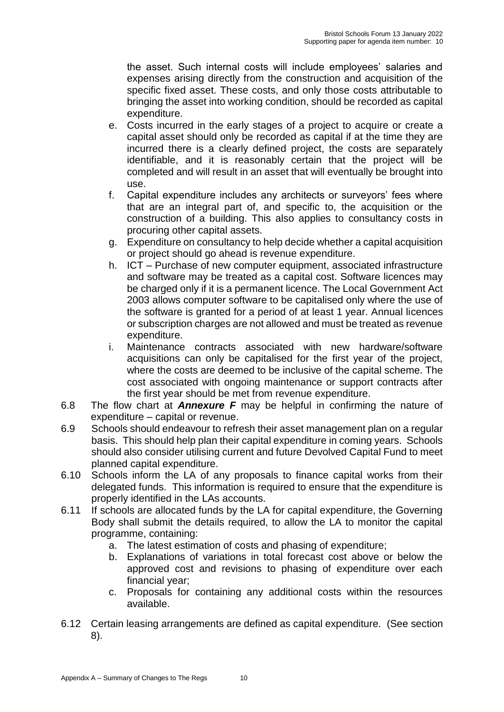the asset. Such internal costs will include employees' salaries and expenses arising directly from the construction and acquisition of the specific fixed asset. These costs, and only those costs attributable to bringing the asset into working condition, should be recorded as capital expenditure.

- e. Costs incurred in the early stages of a project to acquire or create a capital asset should only be recorded as capital if at the time they are incurred there is a clearly defined project, the costs are separately identifiable, and it is reasonably certain that the project will be completed and will result in an asset that will eventually be brought into use.
- f. Capital expenditure includes any architects or surveyors' fees where that are an integral part of, and specific to, the acquisition or the construction of a building. This also applies to consultancy costs in procuring other capital assets.
- g. Expenditure on consultancy to help decide whether a capital acquisition or project should go ahead is revenue expenditure.
- h. ICT Purchase of new computer equipment, associated infrastructure and software may be treated as a capital cost. Software licences may be charged only if it is a permanent licence. The Local Government Act 2003 allows computer software to be capitalised only where the use of the software is granted for a period of at least 1 year. Annual licences or subscription charges are not allowed and must be treated as revenue expenditure.
- i. Maintenance contracts associated with new hardware/software acquisitions can only be capitalised for the first year of the project, where the costs are deemed to be inclusive of the capital scheme. The cost associated with ongoing maintenance or support contracts after the first year should be met from revenue expenditure.
- 6.8 The flow chart at *Annexure F* may be helpful in confirming the nature of expenditure – capital or revenue.
- 6.9 Schools should endeavour to refresh their asset management plan on a regular basis. This should help plan their capital expenditure in coming years. Schools should also consider utilising current and future Devolved Capital Fund to meet planned capital expenditure.
- 6.10 Schools inform the LA of any proposals to finance capital works from their delegated funds. This information is required to ensure that the expenditure is properly identified in the LAs accounts.
- 6.11 If schools are allocated funds by the LA for capital expenditure, the Governing Body shall submit the details required, to allow the LA to monitor the capital programme, containing:
	- a. The latest estimation of costs and phasing of expenditure;
	- b. Explanations of variations in total forecast cost above or below the approved cost and revisions to phasing of expenditure over each financial year;
	- c. Proposals for containing any additional costs within the resources available.
- 6.12 Certain leasing arrangements are defined as capital expenditure. (See section 8).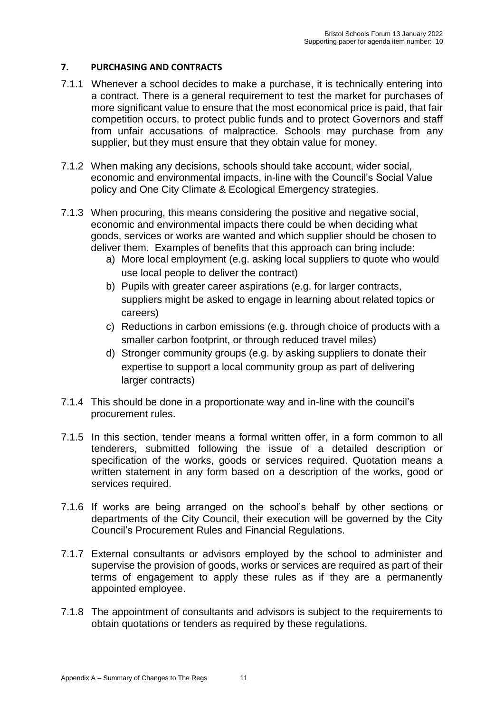#### **7. PURCHASING AND CONTRACTS**

- 7.1.1 Whenever a school decides to make a purchase, it is technically entering into a contract. There is a general requirement to test the market for purchases of more significant value to ensure that the most economical price is paid, that fair competition occurs, to protect public funds and to protect Governors and staff from unfair accusations of malpractice. Schools may purchase from any supplier, but they must ensure that they obtain value for money.
- 7.1.2 When making any decisions, schools should take account, wider social, economic and environmental impacts, in-line with the Council's Social Value policy and One City Climate & Ecological Emergency strategies.
- 7.1.3 When procuring, this means considering the positive and negative social, economic and environmental impacts there could be when deciding what goods, services or works are wanted and which supplier should be chosen to deliver them. Examples of benefits that this approach can bring include:
	- a) More local employment (e.g. asking local suppliers to quote who would use local people to deliver the contract)
	- b) Pupils with greater career aspirations (e.g. for larger contracts, suppliers might be asked to engage in learning about related topics or careers)
	- c) Reductions in carbon emissions (e.g. through choice of products with a smaller carbon footprint, or through reduced travel miles)
	- d) Stronger community groups (e.g. by asking suppliers to donate their expertise to support a local community group as part of delivering larger contracts)
- 7.1.4 This should be done in a proportionate way and in-line with the council's procurement rules.
- 7.1.5 In this section, tender means a formal written offer, in a form common to all tenderers, submitted following the issue of a detailed description or specification of the works, goods or services required. Quotation means a written statement in any form based on a description of the works, good or services required.
- 7.1.6 If works are being arranged on the school's behalf by other sections or departments of the City Council, their execution will be governed by the City Council's Procurement Rules and Financial Regulations.
- 7.1.7 External consultants or advisors employed by the school to administer and supervise the provision of goods, works or services are required as part of their terms of engagement to apply these rules as if they are a permanently appointed employee.
- 7.1.8 The appointment of consultants and advisors is subject to the requirements to obtain quotations or tenders as required by these regulations.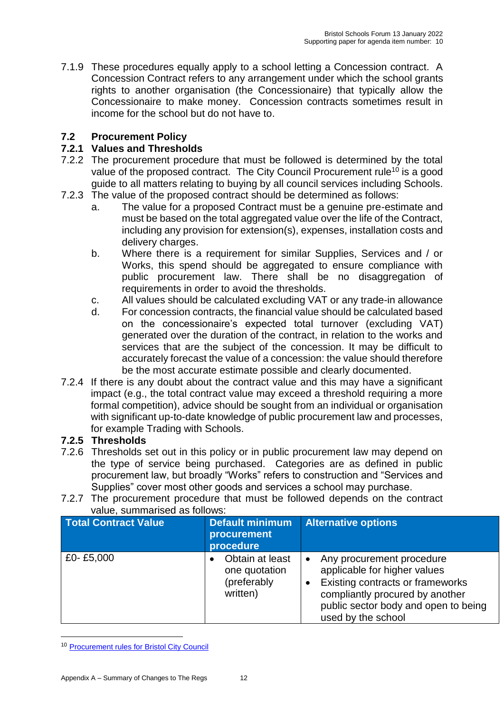7.1.9 These procedures equally apply to a school letting a Concession contract. A Concession Contract refers to any arrangement under which the school grants rights to another organisation (the Concessionaire) that typically allow the Concessionaire to make money. Concession contracts sometimes result in income for the school but do not have to.

## **7.2 Procurement Policy**

## **7.2.1 Values and Thresholds**

- 7.2.2 The procurement procedure that must be followed is determined by the total value of the proposed contract. The City Council Procurement rule<sup>10</sup> is a good guide to all matters relating to buying by all council services including Schools.
- 7.2.3 The value of the proposed contract should be determined as follows:
	- a. The value for a proposed Contract must be a genuine pre-estimate and must be based on the total aggregated value over the life of the Contract, including any provision for extension(s), expenses, installation costs and delivery charges.
	- b. Where there is a requirement for similar Supplies, Services and / or Works, this spend should be aggregated to ensure compliance with public procurement law. There shall be no disaggregation of requirements in order to avoid the thresholds.
	- c. All values should be calculated excluding VAT or any trade-in allowance
	- d. For concession contracts, the financial value should be calculated based on the concessionaire's expected total turnover (excluding VAT) generated over the duration of the contract, in relation to the works and services that are the subject of the concession. It may be difficult to accurately forecast the value of a concession: the value should therefore be the most accurate estimate possible and clearly documented.
- 7.2.4 If there is any doubt about the contract value and this may have a significant impact (e.g., the total contract value may exceed a threshold requiring a more formal competition), advice should be sought from an individual or organisation with significant up-to-date knowledge of public procurement law and processes, for example Trading with Schools.

## **7.2.5 Thresholds**

- 7.2.6 Thresholds set out in this policy or in public procurement law may depend on the type of service being purchased. Categories are as defined in public procurement law, but broadly "Works" refers to construction and "Services and Supplies" cover most other goods and services a school may purchase.
- 7.2.7 The procurement procedure that must be followed depends on the contract value, summarised as follows:

| <b>Total Contract Value</b> | <b>Default minimum</b><br>procurement<br>procedure          | <b>Alternative options</b>                                                                                                                                                                                  |
|-----------------------------|-------------------------------------------------------------|-------------------------------------------------------------------------------------------------------------------------------------------------------------------------------------------------------------|
| £0-£5,000                   | Obtain at least<br>one quotation<br>(preferably<br>written) | Any procurement procedure<br>$\bullet$<br>applicable for higher values<br>Existing contracts or frameworks<br>compliantly procured by another<br>public sector body and open to being<br>used by the school |

<sup>10</sup> [Procurement rules for Bristol City Council](https://www.bristol.gov.uk/documents/20182/34176/Part+4.1%28j%29+Procurement+Rules.pdf/c608806e-adab-8304-0694-2a2bcafcffb4)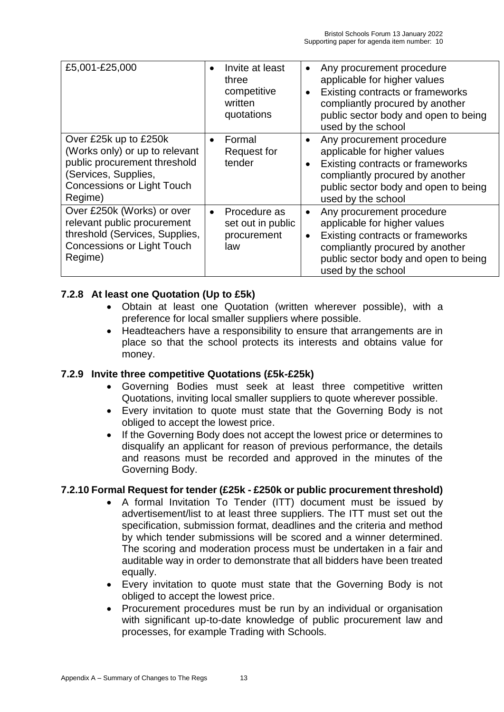| £5,001-£25,000                                                                                                                                                  | Invite at least<br>$\bullet$<br>three<br>competitive<br>written<br>quotations | Any procurement procedure<br>$\bullet$<br>applicable for higher values<br>Existing contracts or frameworks<br>$\bullet$<br>compliantly procured by another<br>public sector body and open to being<br>used by the school |
|-----------------------------------------------------------------------------------------------------------------------------------------------------------------|-------------------------------------------------------------------------------|--------------------------------------------------------------------------------------------------------------------------------------------------------------------------------------------------------------------------|
| Over £25k up to £250k<br>(Works only) or up to relevant<br>public procurement threshold<br>(Services, Supplies,<br><b>Concessions or Light Touch</b><br>Regime) | Formal<br>$\bullet$<br><b>Request for</b><br>tender                           | Any procurement procedure<br>$\bullet$<br>applicable for higher values<br>Existing contracts or frameworks<br>compliantly procured by another<br>public sector body and open to being<br>used by the school              |
| Over £250k (Works) or over<br>relevant public procurement<br>threshold (Services, Supplies,<br><b>Concessions or Light Touch</b><br>Regime)                     | Procedure as<br>$\bullet$<br>set out in public<br>procurement<br>law          | Any procurement procedure<br>$\bullet$<br>applicable for higher values<br>Existing contracts or frameworks<br>$\bullet$<br>compliantly procured by another<br>public sector body and open to being<br>used by the school |

## **7.2.8 At least one Quotation (Up to £5k)**

- Obtain at least one Quotation (written wherever possible), with a preference for local smaller suppliers where possible.
- Headteachers have a responsibility to ensure that arrangements are in place so that the school protects its interests and obtains value for money.

#### **7.2.9 Invite three competitive Quotations (£5k-£25k)**

- Governing Bodies must seek at least three competitive written Quotations, inviting local smaller suppliers to quote wherever possible.
- Every invitation to quote must state that the Governing Body is not obliged to accept the lowest price.
- If the Governing Body does not accept the lowest price or determines to disqualify an applicant for reason of previous performance, the details and reasons must be recorded and approved in the minutes of the Governing Body.

#### **7.2.10 Formal Request for tender (£25k - £250k or public procurement threshold)**

- A formal Invitation To Tender (ITT) document must be issued by advertisement/list to at least three suppliers. The ITT must set out the specification, submission format, deadlines and the criteria and method by which tender submissions will be scored and a winner determined. The scoring and moderation process must be undertaken in a fair and auditable way in order to demonstrate that all bidders have been treated equally.
- Every invitation to quote must state that the Governing Body is not obliged to accept the lowest price.
- Procurement procedures must be run by an individual or organisation with significant up-to-date knowledge of public procurement law and processes, for example Trading with Schools.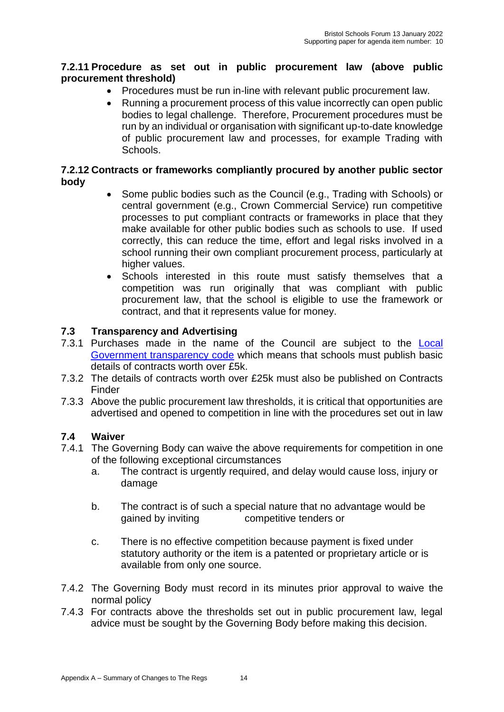### **7.2.11 Procedure as set out in public procurement law (above public procurement threshold)**

- Procedures must be run in-line with relevant public procurement law.
- Running a procurement process of this value incorrectly can open public bodies to legal challenge. Therefore, Procurement procedures must be run by an individual or organisation with significant up-to-date knowledge of public procurement law and processes, for example Trading with Schools.

#### **7.2.12 Contracts or frameworks compliantly procured by another public sector body**

- Some public bodies such as the Council (e.g., Trading with Schools) or central government (e.g., Crown Commercial Service) run competitive processes to put compliant contracts or frameworks in place that they make available for other public bodies such as schools to use. If used correctly, this can reduce the time, effort and legal risks involved in a school running their own compliant procurement process, particularly at higher values.
- Schools interested in this route must satisfy themselves that a competition was run originally that was compliant with public procurement law, that the school is eligible to use the framework or contract, and that it represents value for money.

### **7.3 Transparency and Advertising**

- 7.3.1 Purchases made in the name of the Council are subject to the [Local](https://assets.publishing.service.gov.uk/government/uploads/system/uploads/attachment_data/file/408386/150227_PUBLICATION_Final_LGTC_2015.pdf)  [Government transparency code](https://assets.publishing.service.gov.uk/government/uploads/system/uploads/attachment_data/file/408386/150227_PUBLICATION_Final_LGTC_2015.pdf) which means that schools must publish basic details of contracts worth over £5k.
- 7.3.2 The details of contracts worth over £25k must also be published on Contracts Finder
- 7.3.3 Above the public procurement law thresholds, it is critical that opportunities are advertised and opened to competition in line with the procedures set out in law

#### **7.4 Waiver**

- 7.4.1 The Governing Body can waive the above requirements for competition in one of the following exceptional circumstances
	- a. The contract is urgently required, and delay would cause loss, injury or damage
	- b. The contract is of such a special nature that no advantage would be gained by inviting competitive tenders or
	- c. There is no effective competition because payment is fixed under statutory authority or the item is a patented or proprietary article or is available from only one source.
- 7.4.2 The Governing Body must record in its minutes prior approval to waive the normal policy
- 7.4.3 For contracts above the thresholds set out in public procurement law, legal advice must be sought by the Governing Body before making this decision.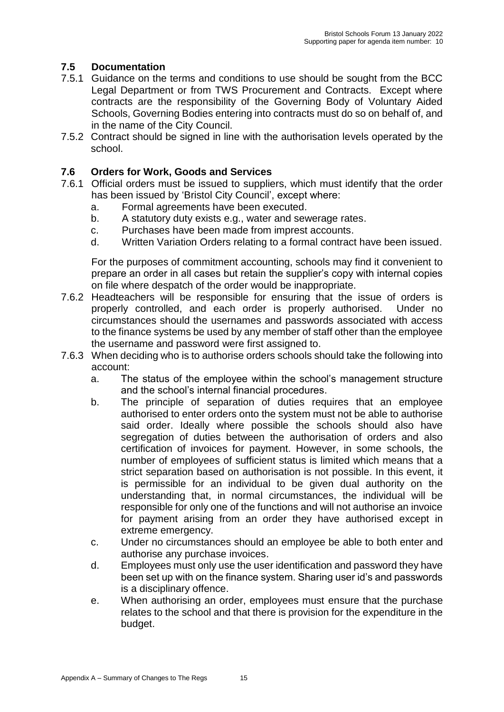# **7.5 Documentation**

- 7.5.1 Guidance on the terms and conditions to use should be sought from the BCC Legal Department or from TWS Procurement and Contracts. Except where contracts are the responsibility of the Governing Body of Voluntary Aided Schools, Governing Bodies entering into contracts must do so on behalf of, and in the name of the City Council.
- 7.5.2 Contract should be signed in line with the authorisation levels operated by the school.

### **7.6 Orders for Work, Goods and Services**

- 7.6.1 Official orders must be issued to suppliers, which must identify that the order has been issued by 'Bristol City Council', except where:
	- a. Formal agreements have been executed.
	- b. A statutory duty exists e.g., water and sewerage rates.
	- c. Purchases have been made from imprest accounts.
	- d. Written Variation Orders relating to a formal contract have been issued.

For the purposes of commitment accounting, schools may find it convenient to prepare an order in all cases but retain the supplier's copy with internal copies on file where despatch of the order would be inappropriate.

- 7.6.2 Headteachers will be responsible for ensuring that the issue of orders is properly controlled, and each order is properly authorised. Under no circumstances should the usernames and passwords associated with access to the finance systems be used by any member of staff other than the employee the username and password were first assigned to.
- 7.6.3 When deciding who is to authorise orders schools should take the following into account:
	- a. The status of the employee within the school's management structure and the school's internal financial procedures.
	- b. The principle of separation of duties requires that an employee authorised to enter orders onto the system must not be able to authorise said order. Ideally where possible the schools should also have segregation of duties between the authorisation of orders and also certification of invoices for payment. However, in some schools, the number of employees of sufficient status is limited which means that a strict separation based on authorisation is not possible. In this event, it is permissible for an individual to be given dual authority on the understanding that, in normal circumstances, the individual will be responsible for only one of the functions and will not authorise an invoice for payment arising from an order they have authorised except in extreme emergency.
	- c. Under no circumstances should an employee be able to both enter and authorise any purchase invoices.
	- d. Employees must only use the user identification and password they have been set up with on the finance system. Sharing user id's and passwords is a disciplinary offence.
	- e. When authorising an order, employees must ensure that the purchase relates to the school and that there is provision for the expenditure in the budget.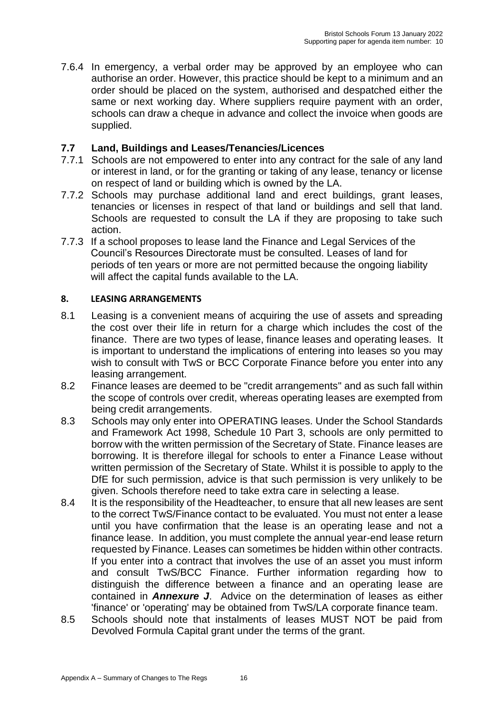7.6.4 In emergency, a verbal order may be approved by an employee who can authorise an order. However, this practice should be kept to a minimum and an order should be placed on the system, authorised and despatched either the same or next working day. Where suppliers require payment with an order, schools can draw a cheque in advance and collect the invoice when goods are supplied.

### **7.7 Land, Buildings and Leases/Tenancies/Licences**

- 7.7.1 Schools are not empowered to enter into any contract for the sale of any land or interest in land, or for the granting or taking of any lease, tenancy or license on respect of land or building which is owned by the LA.
- 7.7.2 Schools may purchase additional land and erect buildings, grant leases, tenancies or licenses in respect of that land or buildings and sell that land. Schools are requested to consult the LA if they are proposing to take such action.
- 7.7.3 If a school proposes to lease land the Finance and Legal Services of the Council's Resources Directorate must be consulted. Leases of land for periods of ten years or more are not permitted because the ongoing liability will affect the capital funds available to the LA.

#### **8. LEASING ARRANGEMENTS**

- 8.1 Leasing is a convenient means of acquiring the use of assets and spreading the cost over their life in return for a charge which includes the cost of the finance. There are two types of lease, finance leases and operating leases. It is important to understand the implications of entering into leases so you may wish to consult with TwS or BCC Corporate Finance before you enter into any leasing arrangement.
- 8.2 Finance leases are deemed to be "credit arrangements" and as such fall within the scope of controls over credit, whereas operating leases are exempted from being credit arrangements.
- 8.3 Schools may only enter into OPERATING leases. Under the School Standards and Framework Act 1998, Schedule 10 Part 3, schools are only permitted to borrow with the written permission of the Secretary of State. Finance leases are borrowing. It is therefore illegal for schools to enter a Finance Lease without written permission of the Secretary of State. Whilst it is possible to apply to the DfE for such permission, advice is that such permission is very unlikely to be given. Schools therefore need to take extra care in selecting a lease.
- 8.4 It is the responsibility of the Headteacher, to ensure that all new leases are sent to the correct TwS/Finance contact to be evaluated. You must not enter a lease until you have confirmation that the lease is an operating lease and not a finance lease. In addition, you must complete the annual year-end lease return requested by Finance. Leases can sometimes be hidden within other contracts. If you enter into a contract that involves the use of an asset you must inform and consult TwS/BCC Finance. Further information regarding how to distinguish the difference between a finance and an operating lease are contained in *Annexure J*. Advice on the determination of leases as either 'finance' or 'operating' may be obtained from TwS/LA corporate finance team.
- 8.5 Schools should note that instalments of leases MUST NOT be paid from Devolved Formula Capital grant under the terms of the grant.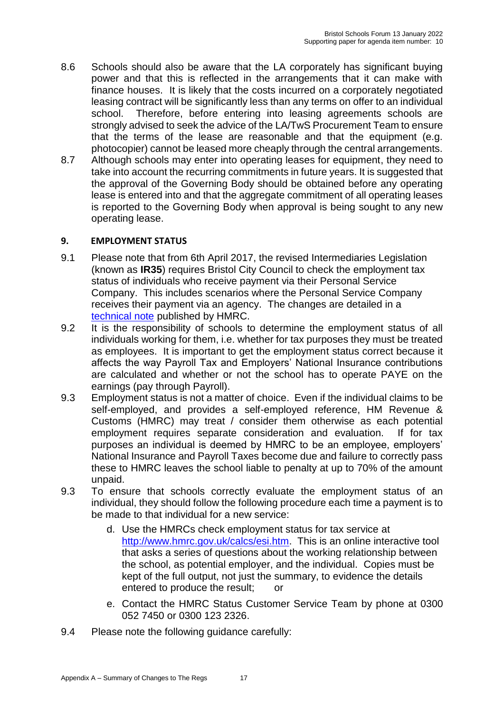- 8.6 Schools should also be aware that the LA corporately has significant buying power and that this is reflected in the arrangements that it can make with finance houses. It is likely that the costs incurred on a corporately negotiated leasing contract will be significantly less than any terms on offer to an individual school. Therefore, before entering into leasing agreements schools are strongly advised to seek the advice of the LA/TwS Procurement Team to ensure that the terms of the lease are reasonable and that the equipment (e.g. photocopier) cannot be leased more cheaply through the central arrangements.
- 8.7 Although schools may enter into operating leases for equipment, they need to take into account the recurring commitments in future years. It is suggested that the approval of the Governing Body should be obtained before any operating lease is entered into and that the aggregate commitment of all operating leases is reported to the Governing Body when approval is being sought to any new operating lease.

#### **9. EMPLOYMENT STATUS**

- 9.1 Please note that from 6th April 2017, the revised Intermediaries Legislation (known as **IR35**) requires Bristol City Council to check the employment tax status of individuals who receive payment via their Personal Service Company. This includes scenarios where the Personal Service Company receives their payment via an agency. The changes are detailed in a [technical note](https://www.gov.uk/government/publications/off-payroll-working-in-the-public-sector-reform-of-the-intermediaries-legislation-technical-note/off-payroll-working-in-the-public-sector-reform-of-the-intermediaries-legislation-technical-note) published by HMRC.
- 9.2 It is the responsibility of schools to determine the employment status of all individuals working for them, i.e. whether for tax purposes they must be treated as employees. It is important to get the employment status correct because it affects the way Payroll Tax and Employers' National Insurance contributions are calculated and whether or not the school has to operate PAYE on the earnings (pay through Payroll).
- 9.3 Employment status is not a matter of choice. Even if the individual claims to be self-employed, and provides a self-employed reference, HM Revenue & Customs (HMRC) may treat / consider them otherwise as each potential employment requires separate consideration and evaluation. If for tax purposes an individual is deemed by HMRC to be an employee, employers' National Insurance and Payroll Taxes become due and failure to correctly pass these to HMRC leaves the school liable to penalty at up to 70% of the amount unpaid.
- 9.3 To ensure that schools correctly evaluate the employment status of an individual, they should follow the following procedure each time a payment is to be made to that individual for a new service:
	- d. Use the HMRCs check employment status for tax service at [http://www.hmrc.gov.uk/calcs/esi.htm.](http://www.hmrc.gov.uk/calcs/esi.htm) This is an online interactive tool that asks a series of questions about the working relationship between the school, as potential employer, and the individual. Copies must be kept of the full output, not just the summary, to evidence the details entered to produce the result; or
	- e. Contact the [HMRC Status Customer Service Team](http://search2.hmrc.gov.uk/kbroker/hmrc/contactus/search.ladv?sr=0&as=1&cs=ISO-8859-1&sc=hmrc&sf=&sm=0&nh=50&ha=34&tx0=941063&fl0=__dsid:&tx1=2037&raction=view) by phone at 0300 052 7450 or 0300 123 2326.
- 9.4 Please note the following guidance carefully: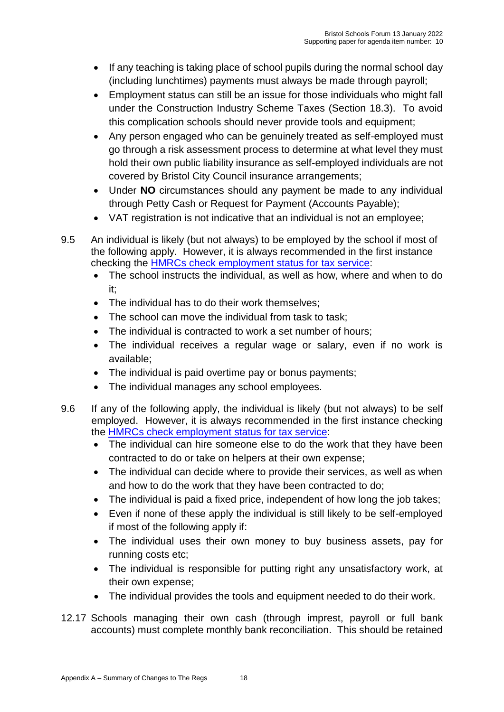- If any teaching is taking place of school pupils during the normal school day (including lunchtimes) payments must always be made through payroll;
- Employment status can still be an issue for those individuals who might fall under the Construction Industry Scheme Taxes (Section 18.3). To avoid this complication schools should never provide tools and equipment;
- Any person engaged who can be genuinely treated as self-employed must go through a risk assessment process to determine at what level they must hold their own public liability insurance as self-employed individuals are not covered by Bristol City Council insurance arrangements;
- Under **NO** circumstances should any payment be made to any individual through Petty Cash or Request for Payment (Accounts Payable);
- VAT registration is not indicative that an individual is not an employee:
- 9.5 An individual is likely (but not always) to be employed by the school if most of the following apply. However, it is always recommended in the first instance checking the [HMRCs check employment](http://www.hmrc.gov.uk/calcs/esi.htm) status for tax service:
	- The school instructs the individual, as well as how, where and when to do it;
	- The individual has to do their work themselves:
	- The school can move the individual from task to task;
	- The individual is contracted to work a set number of hours;
	- The individual receives a regular wage or salary, even if no work is available;
	- The individual is paid overtime pay or bonus payments;
	- The individual manages any school employees.
- 9.6 If any of the following apply, the individual is likely (but not always) to be self employed. However, it is always recommended in the first instance checking the [HMRCs check employment status for tax service:](http://www.hmrc.gov.uk/calcs/esi.htm)
	- The individual can hire someone else to do the work that they have been contracted to do or take on helpers at their own expense;
	- The individual can decide where to provide their services, as well as when and how to do the work that they have been contracted to do;
	- The individual is paid a fixed price, independent of how long the job takes;
	- Even if none of these apply the individual is still likely to be self-employed if most of the following apply if:
	- The individual uses their own money to buy business assets, pay for running costs etc;
	- The individual is responsible for putting right any unsatisfactory work, at their own expense;
	- The individual provides the tools and equipment needed to do their work.
- 12.17 Schools managing their own cash (through imprest, payroll or full bank accounts) must complete monthly bank reconciliation. This should be retained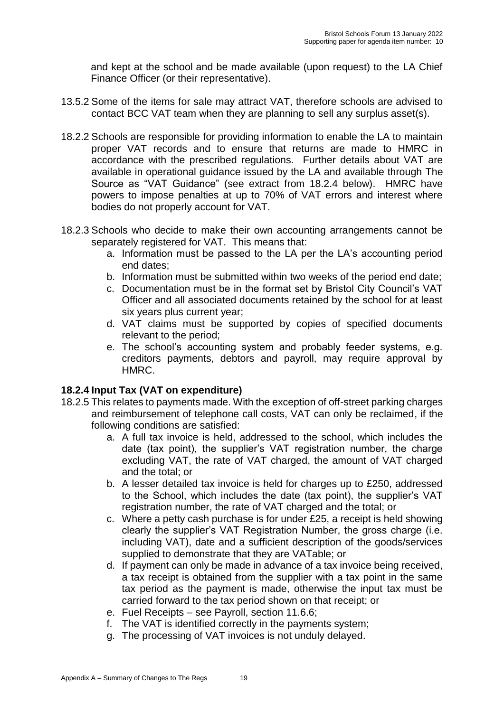and kept at the school and be made available (upon request) to the LA Chief Finance Officer (or their representative).

- 13.5.2 Some of the items for sale may attract VAT, therefore schools are advised to contact BCC VAT team when they are planning to sell any surplus asset(s).
- 18.2.2 Schools are responsible for providing information to enable the LA to maintain proper VAT records and to ensure that returns are made to HMRC in accordance with the prescribed regulations. Further details about VAT are available in operational guidance issued by the LA and available through The Source as "VAT Guidance" (see extract from 18.2.4 below). HMRC have powers to impose penalties at up to 70% of VAT errors and interest where bodies do not properly account for VAT.
- 18.2.3 Schools who decide to make their own accounting arrangements cannot be separately registered for VAT. This means that:
	- a. Information must be passed to the LA per the LA's accounting period end dates;
	- b. Information must be submitted within two weeks of the period end date;
	- c. Documentation must be in the format set by Bristol City Council's VAT Officer and all associated documents retained by the school for at least six years plus current year;
	- d. VAT claims must be supported by copies of specified documents relevant to the period;
	- e. The school's accounting system and probably feeder systems, e.g. creditors payments, debtors and payroll, may require approval by HMRC.

## **18.2.4 Input Tax (VAT on expenditure)**

- 18.2.5 This relates to payments made. With the exception of off-street parking charges and reimbursement of telephone call costs, VAT can only be reclaimed, if the following conditions are satisfied:
	- a. A full tax invoice is held, addressed to the school, which includes the date (tax point), the supplier's VAT registration number, the charge excluding VAT, the rate of VAT charged, the amount of VAT charged and the total; or
	- b. A lesser detailed tax invoice is held for charges up to £250, addressed to the School, which includes the date (tax point), the supplier's VAT registration number, the rate of VAT charged and the total; or
	- c. Where a petty cash purchase is for under £25, a receipt is held showing clearly the supplier's VAT Registration Number, the gross charge (i.e. including VAT), date and a sufficient description of the goods/services supplied to demonstrate that they are VATable; or
	- d. If payment can only be made in advance of a tax invoice being received, a tax receipt is obtained from the supplier with a tax point in the same tax period as the payment is made, otherwise the input tax must be carried forward to the tax period shown on that receipt; or
	- e. Fuel Receipts see Payroll, section 11.6.6;
	- f. The VAT is identified correctly in the payments system;
	- g. The processing of VAT invoices is not unduly delayed.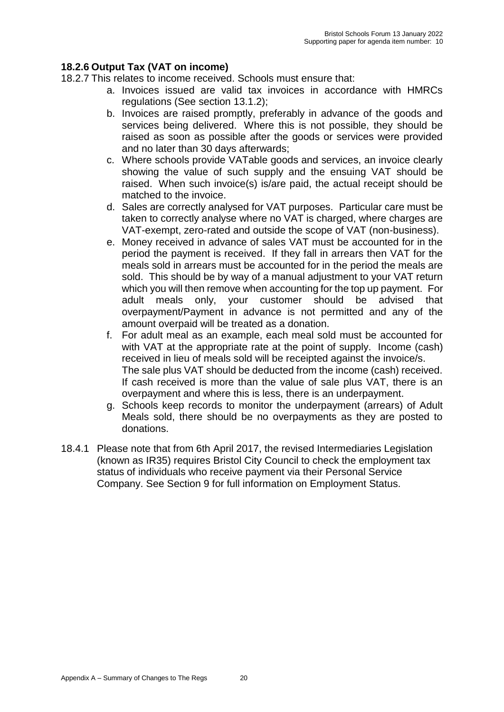# **18.2.6 Output Tax (VAT on income)**

- 18.2.7 This relates to income received. Schools must ensure that:
	- a. Invoices issued are valid tax invoices in accordance with HMRCs regulations (See section 13.1.2);
	- b. Invoices are raised promptly, preferably in advance of the goods and services being delivered. Where this is not possible, they should be raised as soon as possible after the goods or services were provided and no later than 30 days afterwards;
	- c. Where schools provide VATable goods and services, an invoice clearly showing the value of such supply and the ensuing VAT should be raised. When such invoice(s) is/are paid, the actual receipt should be matched to the invoice.
	- d. Sales are correctly analysed for VAT purposes. Particular care must be taken to correctly analyse where no VAT is charged, where charges are VAT-exempt, zero-rated and outside the scope of VAT (non-business).
	- e. Money received in advance of sales VAT must be accounted for in the period the payment is received. If they fall in arrears then VAT for the meals sold in arrears must be accounted for in the period the meals are sold. This should be by way of a manual adjustment to your VAT return which you will then remove when accounting for the top up payment. For adult meals only, your customer should be advised that overpayment/Payment in advance is not permitted and any of the amount overpaid will be treated as a donation.
	- f. For adult meal as an example, each meal sold must be accounted for with VAT at the appropriate rate at the point of supply. Income (cash) received in lieu of meals sold will be receipted against the invoice/s. The sale plus VAT should be deducted from the income (cash) received. If cash received is more than the value of sale plus VAT, there is an overpayment and where this is less, there is an underpayment.
	- g. Schools keep records to monitor the underpayment (arrears) of Adult Meals sold, there should be no overpayments as they are posted to donations.
- 18.4.1 Please note that from 6th April 2017, the revised Intermediaries Legislation (known as IR35) requires Bristol City Council to check the employment tax status of individuals who receive payment via their Personal Service Company. See Section 9 for full information on Employment Status.